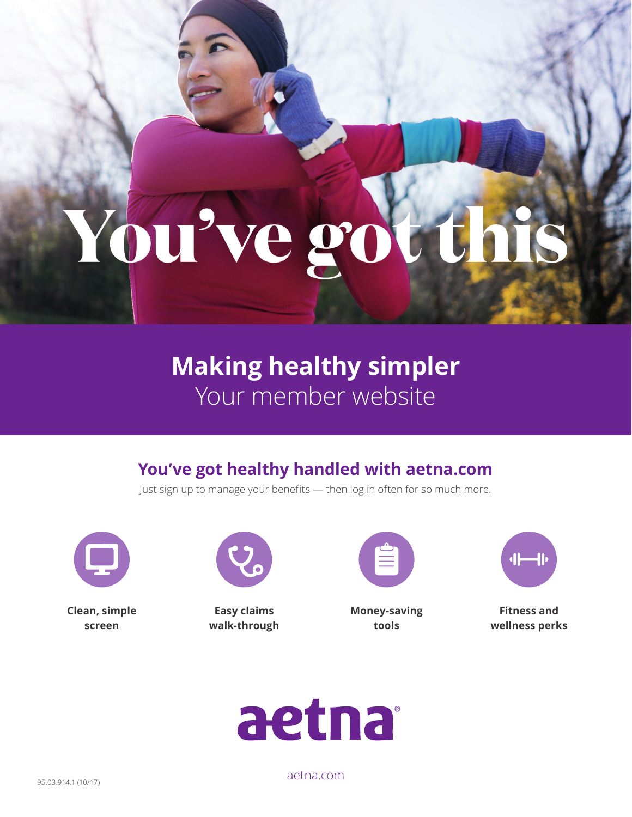# You've got

**Making healthy simpler** Your member website

# **You've got healthy handled with [aetna.com](http://aetna.com)**

Just sign up to manage your benefits — then log in often for so much more.



**Clean, simple screen**

**Easy claims walk-through**

| Ñ |  |
|---|--|
|   |  |
|   |  |
|   |  |

**Money-saving tools** 



**Fitness and wellness perks** 



[aetna.com](http://aetna.com)